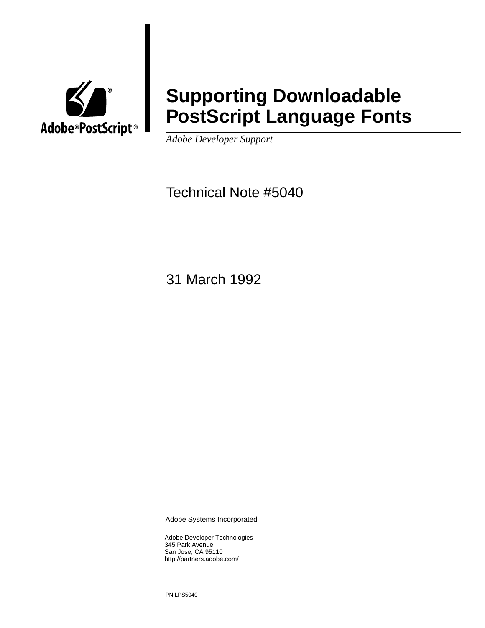

# **Supporting Downloadable PostScript Language Fonts**

*Adobe Developer Support*

Technical Note #5040

31 March 1992

Adobe Systems Incorporated

Adobe Developer Technologies 345 Park Avenue San Jose, CA 95110 http://partners.adobe.com/

PN LPS5040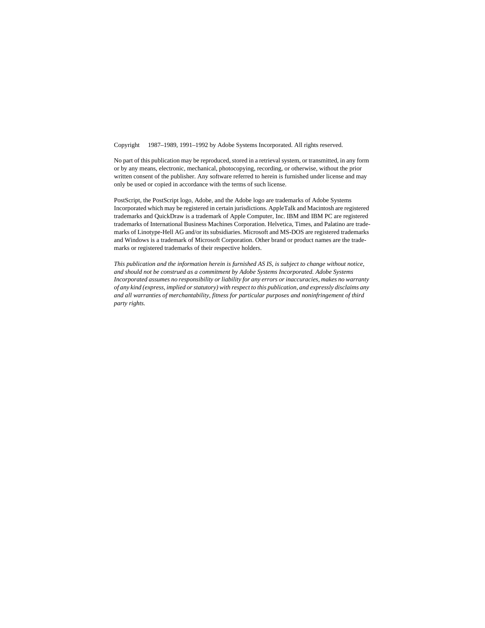Copyright 1987–1989, 1991–1992 by Adobe Systems Incorporated. All rights reserved.

No part of this publication may be reproduced, stored in a retrieval system, or transmitted, in any form or by any means, electronic, mechanical, photocopying, recording, or otherwise, without the prior written consent of the publisher. Any software referred to herein is furnished under license and may only be used or copied in accordance with the terms of such license.

PostScript, the PostScript logo, Adobe, and the Adobe logo are trademarks of Adobe Systems Incorporated which may be registered in certain jurisdictions. AppleTalk and Macintosh are registered trademarks and QuickDraw is a trademark of Apple Computer, Inc. IBM and IBM PC are registered trademarks of International Business Machines Corporation. Helvetica, Times, and Palatino are trademarks of Linotype-Hell AG and/or its subsidiaries. Microsoft and MS-DOS are registered trademarks and Windows is a trademark of Microsoft Corporation. Other brand or product names are the trademarks or registered trademarks of their respective holders.

*This publication and the information herein is furnished AS IS, is subject to change without notice, and should not be construed as a commitment by Adobe Systems Incorporated. Adobe Systems Incorporated assumes no responsibility or liability for any errors or inaccuracies, makes no warranty of any kind (express, implied or statutory) with respect to this publication, and expressly disclaims any and all warranties of merchantability, fitness for particular purposes and noninfringement of third party rights.*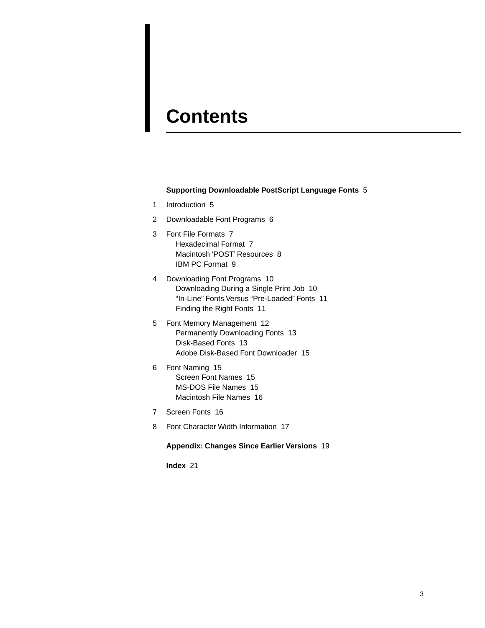# **Contents**

#### **Supporting Downloadable PostScript Language Fonts** 5

- [1 Introduction 5](#page-4-0)
- [2 Downloadable Font Programs 6](#page-5-0)
- [3 Font File Formats 7](#page-6-0) [Hexadecimal Format 7](#page-6-1) [Macintosh 'POST' Resources 8](#page-7-0) [IBM PC Format 9](#page-8-0)
- [4 Downloading Font Programs 10](#page-9-0) [Downloading During a Single Print Job 10](#page-9-1) ["In-Line" Fonts Versus "Pre-Loaded" Fonts 11](#page-10-0) [Finding the Right Fonts 11](#page-10-1)
- [5 Font Memory Management 12](#page-11-0) [Permanently Downloading Fonts 13](#page-12-0) [Disk-Based Fonts 13](#page-12-1) [Adobe Disk-Based Font Downloader 15](#page-14-0)
- [6 Font Naming 15](#page-14-1) [Screen Font Names 15](#page-14-2) [MS-DOS File Names 15](#page-14-3) [Macintosh File Names 16](#page-15-0)
- [7 Screen Fonts 16](#page-15-1)
- [8 Font Character Width Information 17](#page-16-0)

### **Appendix: Changes Since Earlier Versions** 19

**Index** 21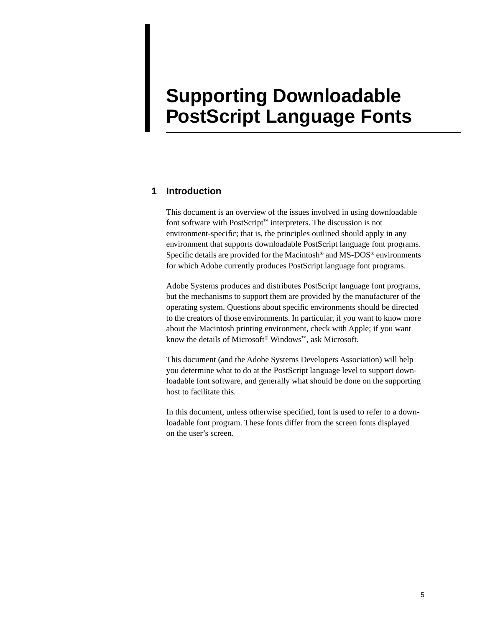# **Supporting Downloadable PostScript Language Fonts**

## <span id="page-4-0"></span>**1 Introduction**

This document is an overview of the issues involved in using downloadable font software with PostScript™ interpreters. The discussion is not environment-specific; that is, the principles outlined should apply in any environment that supports downloadable PostScript language font programs. Specific details are provided for the Macintosh® and MS-DOS® environments for which Adobe currently produces PostScript language font programs.

Adobe Systems produces and distributes PostScript language font programs, but the mechanisms to support them are provided by the manufacturer of the operating system. Questions about specific environments should be directed to the creators of those environments. In particular, if you want to know more about the Macintosh printing environment, check with Apple; if you want know the details of Microsoft® Windows™, ask Microsoft.

This document (and the Adobe Systems Developers Association) will help you determine what to do at the PostScript language level to support downloadable font software, and generally what should be done on the supporting host to facilitate this.

In this document, unless otherwise specified, font is used to refer to a downloadable font program. These fonts differ from the screen fonts displayed on the user's screen.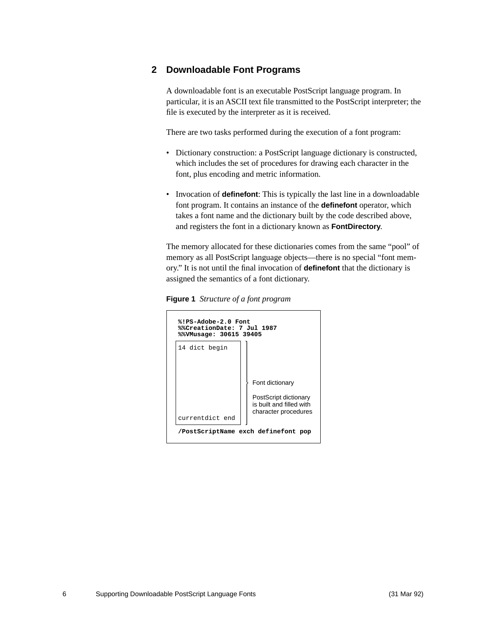# <span id="page-5-0"></span>**2 Downloadable Font Programs**

A downloadable font is an executable PostScript language program. In particular, it is an ASCII text file transmitted to the PostScript interpreter; the file is executed by the interpreter as it is received.

There are two tasks performed during the execution of a font program:

- Dictionary construction: a PostScript language dictionary is constructed, which includes the set of procedures for drawing each character in the font, plus encoding and metric information.
- Invocation of **definefont**: This is typically the last line in a downloadable font program. It contains an instance of the **definefont** operator, which takes a font name and the dictionary built by the code described above, and registers the font in a dictionary known as **FontDirectory**.

The memory allocated for these dictionaries comes from the same "pool" of memory as all PostScript language objects—there is no special "font memory." It is not until the final invocation of **definefont** that the dictionary is assigned the semantics of a font dictionary.

**Figure 1** *Structure of a font program*

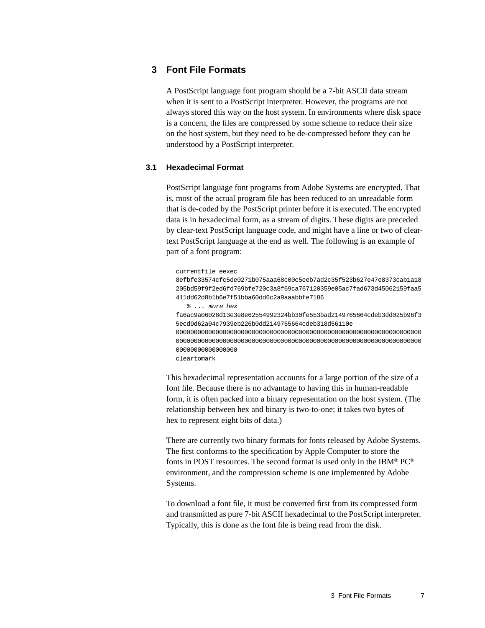## <span id="page-6-0"></span>**3 Font File Formats**

A PostScript language font program should be a 7-bit ASCII data stream when it is sent to a PostScript interpreter. However, the programs are not always stored this way on the host system. In environments where disk space is a concern, the files are compressed by some scheme to reduce their size on the host system, but they need to be de-compressed before they can be understood by a PostScript interpreter.

## <span id="page-6-1"></span>**3.1 Hexadecimal Format**

PostScript language font programs from Adobe Systems are encrypted. That is, most of the actual program file has been reduced to an unreadable form that is de-coded by the PostScript printer before it is executed. The encrypted data is in hexadecimal form, as a stream of digits. These digits are preceded by clear-text PostScript language code, and might have a line or two of cleartext PostScript language at the end as well. The following is an example of part of a font program:

currentfile eexec 8efbfe33574cfc5de0271b075aaa68c00c5eeb7ad2c35f523b627e47e8373cab1a18 205bd59f9f2ed6fd769bfe720c3a8f69ca767120359e05ac7fad673d45062159faa5 411dd62d8b1b6e7f51bba60dd6c2a9aaabbfe7186 % ... more hex fa6ac9a06028d13e3e8e62554992324bb30fe553bad2149765664cdeb3dd025b96f3 5ecd9d62a04c7939eb226b0dd2149765664cdeb318d56110e 00000000000000000000000000000000000000000000000000000000000000000000 00000000000000000000000000000000000000000000000000000000000000000000 00000000000000000 cleartomark

This hexadecimal representation accounts for a large portion of the size of a font file. Because there is no advantage to having this in human-readable form, it is often packed into a binary representation on the host system. (The relationship between hex and binary is two-to-one; it takes two bytes of hex to represent eight bits of data.)

There are currently two binary formats for fonts released by Adobe Systems. The first conforms to the specification by Apple Computer to store the fonts in POST resources. The second format is used only in the IBM® PC® environment, and the compression scheme is one implemented by Adobe Systems.

To download a font file, it must be converted first from its compressed form and transmitted as pure 7-bit ASCII hexadecimal to the PostScript interpreter. Typically, this is done as the font file is being read from the disk.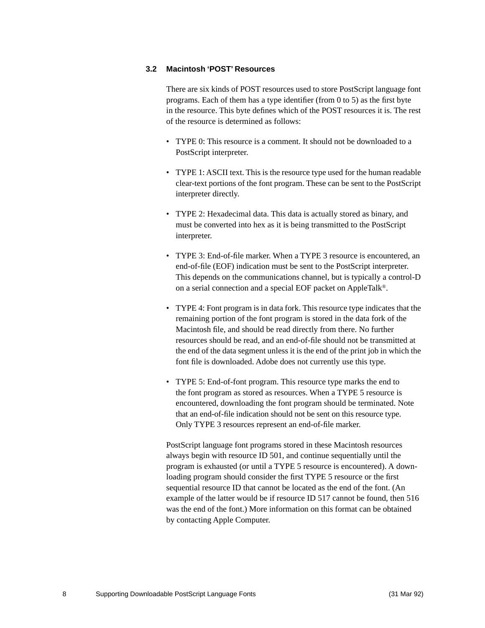## <span id="page-7-0"></span>**3.2 Macintosh 'POST' Resources**

There are six kinds of POST resources used to store PostScript language font programs. Each of them has a type identifier (from 0 to 5) as the first byte in the resource. This byte defines which of the POST resources it is. The rest of the resource is determined as follows:

- TYPE 0: This resource is a comment. It should not be downloaded to a PostScript interpreter.
- TYPE 1: ASCII text. This is the resource type used for the human readable clear-text portions of the font program. These can be sent to the PostScript interpreter directly.
- TYPE 2: Hexadecimal data. This data is actually stored as binary, and must be converted into hex as it is being transmitted to the PostScript interpreter.
- TYPE 3: End-of-file marker. When a TYPE 3 resource is encountered, an end-of-file (EOF) indication must be sent to the PostScript interpreter. This depends on the communications channel, but is typically a control-D on a serial connection and a special EOF packet on AppleTalk®.
- TYPE 4: Font program is in data fork. This resource type indicates that the remaining portion of the font program is stored in the data fork of the Macintosh file, and should be read directly from there. No further resources should be read, and an end-of-file should not be transmitted at the end of the data segment unless it is the end of the print job in which the font file is downloaded. Adobe does not currently use this type.
- TYPE 5: End-of-font program. This resource type marks the end to the font program as stored as resources. When a TYPE 5 resource is encountered, downloading the font program should be terminated. Note that an end-of-file indication should not be sent on this resource type. Only TYPE 3 resources represent an end-of-file marker.

PostScript language font programs stored in these Macintosh resources always begin with resource ID 501, and continue sequentially until the program is exhausted (or until a TYPE 5 resource is encountered). A downloading program should consider the first TYPE 5 resource or the first sequential resource ID that cannot be located as the end of the font. (An example of the latter would be if resource ID 517 cannot be found, then 516 was the end of the font.) More information on this format can be obtained by contacting Apple Computer.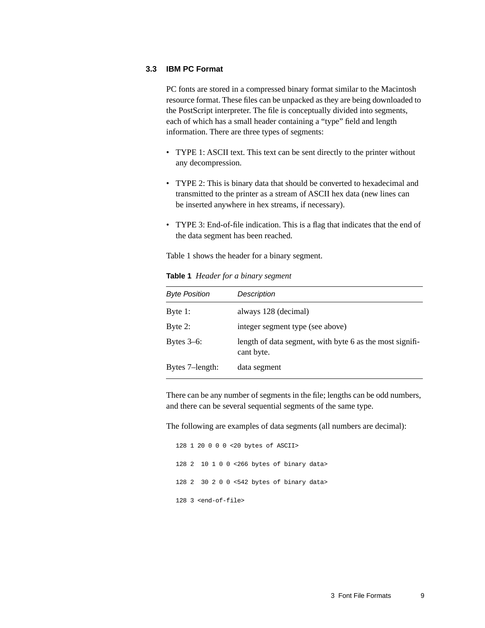## <span id="page-8-0"></span>**3.3 IBM PC Format**

PC fonts are stored in a compressed binary format similar to the Macintosh resource format. These files can be unpacked as they are being downloaded to the PostScript interpreter. The file is conceptually divided into segments, each of which has a small header containing a "type" field and length information. There are three types of segments:

- TYPE 1: ASCII text. This text can be sent directly to the printer without any decompression.
- TYPE 2: This is binary data that should be converted to hexadecimal and transmitted to the printer as a stream of ASCII hex data (new lines can be inserted anywhere in hex streams, if necessary).
- TYPE 3: End-of-file indication. This is a flag that indicates that the end of the data segment has been reached.

[Table 1](#page-8-1) shows the header for a binary segment.

| <b>Byte Position</b> | Description                                                            |
|----------------------|------------------------------------------------------------------------|
| Byte $1$ :           | always 128 (decimal)                                                   |
| Byte 2:              | integer segment type (see above)                                       |
| Bytes $3-6$ :        | length of data segment, with byte 6 as the most signifi-<br>cant byte. |
| Bytes 7-length:      | data segment                                                           |

<span id="page-8-1"></span>**Table 1** *Header for a binary segment*

There can be any number of segments in the file; lengths can be odd numbers, and there can be several sequential segments of the same type.

The following are examples of data segments (all numbers are decimal):

128 1 20 0 0 0 <20 bytes of ASCII> 128 2 10 1 0 0 <266 bytes of binary data> 128 2 30 2 0 0 <542 bytes of binary data> 128 3 <end-of-file>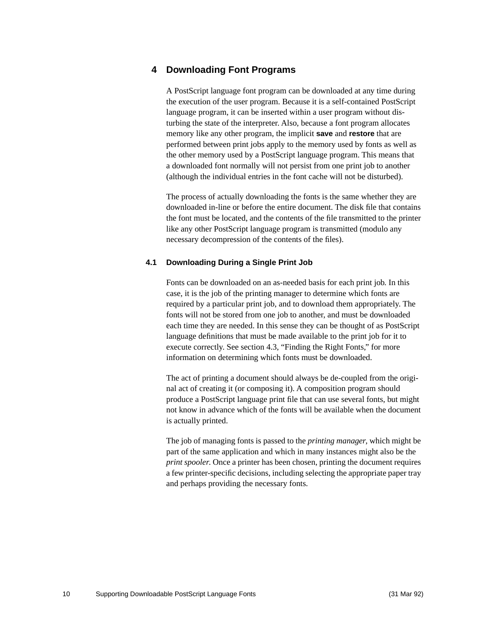# <span id="page-9-0"></span>**4 Downloading Font Programs**

A PostScript language font program can be downloaded at any time during the execution of the user program. Because it is a self-contained PostScript language program, it can be inserted within a user program without disturbing the state of the interpreter. Also, because a font program allocates memory like any other program, the implicit **save** and **restore** that are performed between print jobs apply to the memory used by fonts as well as the other memory used by a PostScript language program. This means that a downloaded font normally will not persist from one print job to another (although the individual entries in the font cache will not be disturbed).

The process of actually downloading the fonts is the same whether they are downloaded in-line or before the entire document. The disk file that contains the font must be located, and the contents of the file transmitted to the printer like any other PostScript language program is transmitted (modulo any necessary decompression of the contents of the files).

## <span id="page-9-1"></span>**4.1 Downloading During a Single Print Job**

Fonts can be downloaded on an as-needed basis for each print job. In this case, it is the job of the printing manager to determine which fonts are required by a particular print job, and to download them appropriately. The fonts will not be stored from one job to another, and must be downloaded each time they are needed. In this sense they can be thought of as PostScript language definitions that must be made available to the print job for it to execute correctly. See [section 4.3, "Finding the Right Fonts](#page-10-1)," for more information on determining which fonts must be downloaded.

The act of printing a document should always be de-coupled from the original act of creating it (or composing it). A composition program should produce a PostScript language print file that can use several fonts, but might not know in advance which of the fonts will be available when the document is actually printed.

The job of managing fonts is passed to the *printing manager*, which might be part of the same application and which in many instances might also be the *print spooler*. Once a printer has been chosen, printing the document requires a few printer-specific decisions, including selecting the appropriate paper tray and perhaps providing the necessary fonts.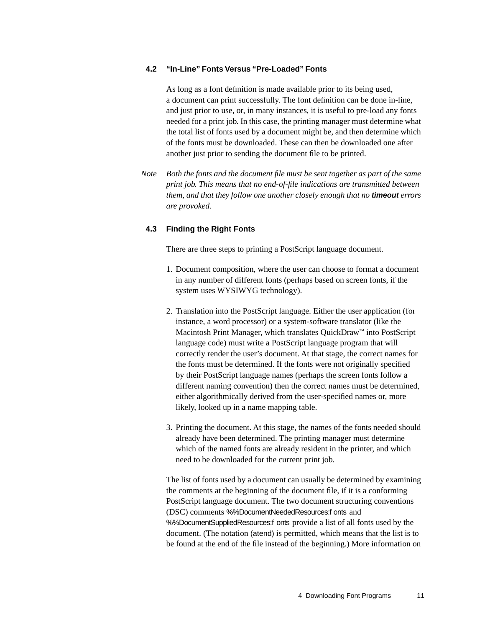### <span id="page-10-0"></span>**4.2 "In-Line" Fonts Versus "Pre-Loaded" Fonts**

As long as a font definition is made available prior to its being used, a document can print successfully. The font definition can be done in-line, and just prior to use, or, in many instances, it is useful to pre-load any fonts needed for a print job. In this case, the printing manager must determine what the total list of fonts used by a document might be, and then determine which of the fonts must be downloaded. These can then be downloaded one after another just prior to sending the document file to be printed.

*Note Both the fonts and the document file must be sent together as part of the same print job. This means that no end-of-file indications are transmitted between them, and that they follow one another closely enough that no* **timeout** *errors are provoked.*

### <span id="page-10-1"></span>**4.3 Finding the Right Fonts**

There are three steps to printing a PostScript language document.

- 1. Document composition, where the user can choose to format a document in any number of different fonts (perhaps based on screen fonts, if the system uses WYSIWYG technology).
- 2. Translation into the PostScript language. Either the user application (for instance, a word processor) or a system-software translator (like the Macintosh Print Manager, which translates QuickDraw™ into PostScript language code) must write a PostScript language program that will correctly render the user's document. At that stage, the correct names for the fonts must be determined. If the fonts were not originally specified by their PostScript language names (perhaps the screen fonts follow a different naming convention) then the correct names must be determined, either algorithmically derived from the user-specified names or, more likely, looked up in a name mapping table.
- 3. Printing the document. At this stage, the names of the fonts needed should already have been determined. The printing manager must determine which of the named fonts are already resident in the printer, and which need to be downloaded for the current print job.

The list of fonts used by a document can usually be determined by examining the comments at the beginning of the document file, if it is a conforming PostScript language document. The two document structuring conventions (DSC) comments %%DocumentNeededResources:f onts and %%DocumentSuppliedResources:f onts provide a list of all fonts used by the document. (The notation (atend) is permitted, which means that the list is to be found at the end of the file instead of the beginning.) More information on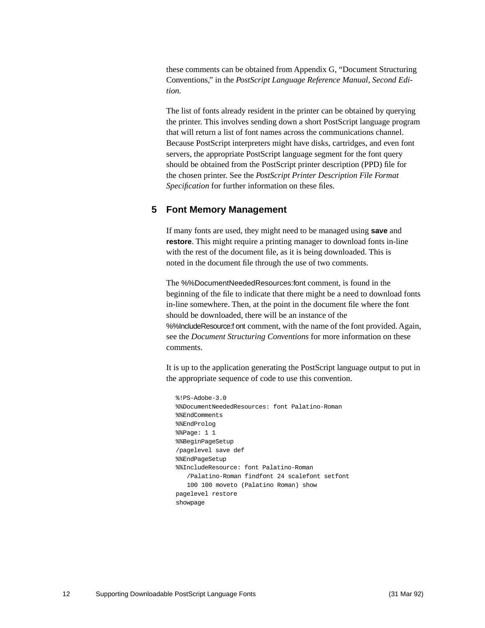these comments can be obtained from Appendix G, "Document Structuring Conventions," in the *PostScript Language Reference Manual, Second Edition.*

The list of fonts already resident in the printer can be obtained by querying the printer. This involves sending down a short PostScript language program that will return a list of font names across the communications channel. Because PostScript interpreters might have disks, cartridges, and even font servers, the appropriate PostScript language segment for the font query should be obtained from the PostScript printer description (PPD) file for the chosen printer. See the *PostScript Printer Description File Format Specification* for further information on these files.

## <span id="page-11-0"></span>**5 Font Memory Management**

If many fonts are used, they might need to be managed using **save** and **restore**. This might require a printing manager to download fonts in-line with the rest of the document file, as it is being downloaded. This is noted in the document file through the use of two comments.

The %%DocumentNeededResources:font comment, is found in the beginning of the file to indicate that there might be a need to download fonts in-line somewhere. Then, at the point in the document file where the font should be downloaded, there will be an instance of the %%IncludeResource:f ont comment, with the name of the font provided. Again, see the *Document Structuring Conventions* for more information on these comments.

It is up to the application generating the PostScript language output to put in the appropriate sequence of code to use this convention.

```
%!PS-Adobe-3.0
%%DocumentNeededResources: font Palatino-Roman
%%EndComments
%%EndProlog
%%Page: 1 1
%%BeginPageSetup
/pagelevel save def
%%EndPageSetup
%%IncludeResource: font Palatino-Roman
   /Palatino-Roman findfont 24 scalefont setfont
   100 100 moveto (Palatino Roman) show
pagelevel restore
showpage
```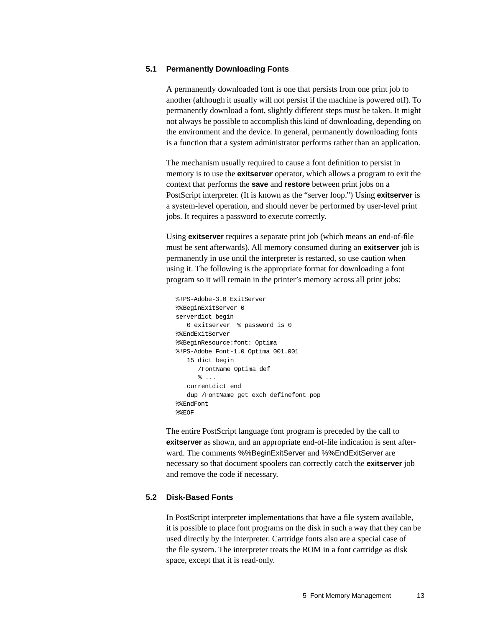## <span id="page-12-0"></span>**5.1 Permanently Downloading Fonts**

A permanently downloaded font is one that persists from one print job to another (although it usually will not persist if the machine is powered off). To permanently download a font, slightly different steps must be taken. It might not always be possible to accomplish this kind of downloading, depending on the environment and the device. In general, permanently downloading fonts is a function that a system administrator performs rather than an application.

The mechanism usually required to cause a font definition to persist in memory is to use the **exitserver** operator, which allows a program to exit the context that performs the **save** and **restore** between print jobs on a PostScript interpreter. (It is known as the "server loop.") Using **exitserver** is a system-level operation, and should never be performed by user-level print jobs. It requires a password to execute correctly.

Using **exitserver** requires a separate print job (which means an end-of-file must be sent afterwards). All memory consumed during an **exitserver** job is permanently in use until the interpreter is restarted, so use caution when using it. The following is the appropriate format for downloading a font program so it will remain in the printer's memory across all print jobs:

```
%!PS-Adobe-3.0 ExitServer
%%BeginExitServer 0
serverdict begin
  0 exitserver % password is 0
%%EndExitServer
%%BeginResource:font: Optima
%!PS-Adobe Font-1.0 Optima 001.001
   15 dict begin
      /FontName Optima def
      % \ldotscurrentdict end
   dup /FontName get exch definefont pop
%%EndFont
%%EOF
```
The entire PostScript language font program is preceded by the call to **exitserver** as shown, and an appropriate end-of-file indication is sent afterward. The comments %%BeginExitServer and %%EndExitServer are necessary so that document spoolers can correctly catch the **exitserver** job and remove the code if necessary.

## <span id="page-12-1"></span>**5.2 Disk-Based Fonts**

In PostScript interpreter implementations that have a file system available, it is possible to place font programs on the disk in such a way that they can be used directly by the interpreter. Cartridge fonts also are a special case of the file system. The interpreter treats the ROM in a font cartridge as disk space, except that it is read-only.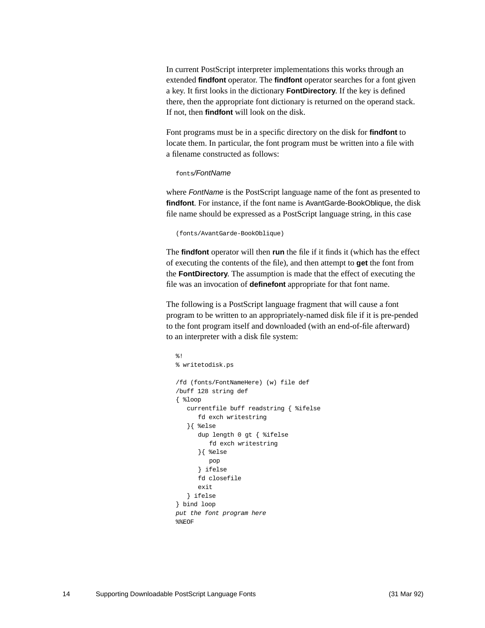In current PostScript interpreter implementations this works through an extended **findfont** operator. The **findfont** operator searches for a font given a key. It first looks in the dictionary **FontDirectory**. If the key is defined there, then the appropriate font dictionary is returned on the operand stack. If not, then **findfont** will look on the disk.

Font programs must be in a specific directory on the disk for **findfont** to locate them. In particular, the font program must be written into a file with a filename constructed as follows:

### fonts/FontName

where FontName is the PostScript language name of the font as presented to **findfont**. For instance, if the font name is AvantGarde-BookOblique, the disk file name should be expressed as a PostScript language string, in this case

```
(fonts/AvantGarde-BookOblique)
```
The **findfont** operator will then **run** the file if it finds it (which has the effect of executing the contents of the file), and then attempt to **get** the font from the **FontDirectory**. The assumption is made that the effect of executing the file was an invocation of **definefont** appropriate for that font name.

The following is a PostScript language fragment that will cause a font program to be written to an appropriately-named disk file if it is pre-pended to the font program itself and downloaded (with an end-of-file afterward) to an interpreter with a disk file system:

```
%!
% writetodisk.ps 
/fd (fonts/FontNameHere) (w) file def
/buff 128 string def
{ %loop
   currentfile buff readstring { %ifelse
      fd exch writestring
   }{ %else
      dup length 0 gt { %ifelse
         fd exch writestring
      }{ %else
        pop
      } ifelse
      fd closefile
      exit
   } ifelse
} bind loop
put the font program here
%%EOF
```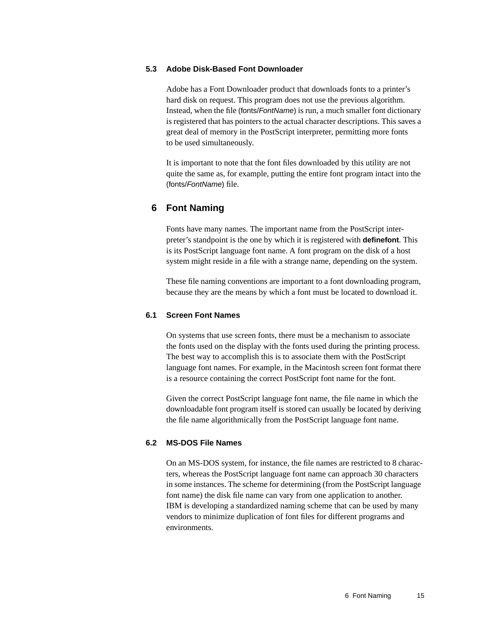### <span id="page-14-0"></span>**5.3 Adobe Disk-Based Font Downloader**

Adobe has a Font Downloader product that downloads fonts to a printer's hard disk on request. This program does not use the previous algorithm. Instead, when the file (fonts/FontName) is run, a much smaller font dictionary is registered that has pointers to the actual character descriptions. This saves a great deal of memory in the PostScript interpreter, permitting more fonts to be used simultaneously.

It is important to note that the font files downloaded by this utility are not quite the same as, for example, putting the entire font program intact into the (fonts/FontName) file.

## <span id="page-14-1"></span>**6 Font Naming**

Fonts have many names. The important name from the PostScript interpreter's standpoint is the one by which it is registered with **definefont**. This is its PostScript language font name. A font program on the disk of a host system might reside in a file with a strange name, depending on the system.

These file naming conventions are important to a font downloading program, because they are the means by which a font must be located to download it.

### <span id="page-14-2"></span>**6.1 Screen Font Names**

On systems that use screen fonts, there must be a mechanism to associate the fonts used on the display with the fonts used during the printing process. The best way to accomplish this is to associate them with the PostScript language font names. For example, in the Macintosh screen font format there is a resource containing the correct PostScript font name for the font.

Given the correct PostScript language font name, the file name in which the downloadable font program itself is stored can usually be located by deriving the file name algorithmically from the PostScript language font name.

## <span id="page-14-3"></span>**6.2 MS-DOS File Names**

On an MS-DOS system, for instance, the file names are restricted to 8 characters, whereas the PostScript language font name can approach 30 characters in some instances. The scheme for determining (from the PostScript language font name) the disk file name can vary from one application to another. IBM is developing a standardized naming scheme that can be used by many vendors to minimize duplication of font files for different programs and environments.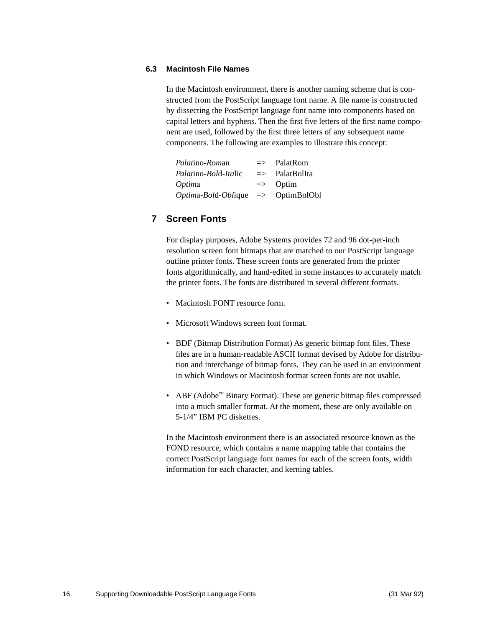## <span id="page-15-0"></span>**6.3 Macintosh File Names**

In the Macintosh environment, there is another naming scheme that is constructed from the PostScript language font name. A file name is constructed by dissecting the PostScript language font name into components based on capital letters and hyphens. Then the first five letters of the first name component are used, followed by the first three letters of any subsequent name components. The following are examples to illustrate this concept:

| <i>Palatino-Roman</i>                      | $\Rightarrow$ PalatRom    |
|--------------------------------------------|---------------------------|
| Palatino-Bold-Italic                       | $\Rightarrow$ PalatBolIta |
| <i>Optima</i>                              | $\Rightarrow$ Optim       |
| $Optima-Bold-Oblique \implies OptimBolObl$ |                           |

# <span id="page-15-1"></span>**7 Screen Fonts**

For display purposes, Adobe Systems provides 72 and 96 dot-per-inch resolution screen font bitmaps that are matched to our PostScript language outline printer fonts. These screen fonts are generated from the printer fonts algorithmically, and hand-edited in some instances to accurately match the printer fonts. The fonts are distributed in several different formats.

- Macintosh FONT resource form.
- Microsoft Windows screen font format.
- BDF (Bitmap Distribution Format) As generic bitmap font files. These files are in a human-readable ASCII format devised by Adobe for distribution and interchange of bitmap fonts. They can be used in an environment in which Windows or Macintosh format screen fonts are not usable.
- ABF (Adobe™ Binary Format). These are generic bitmap files compressed into a much smaller format. At the moment, these are only available on 5-1/4" IBM PC diskettes.

In the Macintosh environment there is an associated resource known as the FOND resource, which contains a name mapping table that contains the correct PostScript language font names for each of the screen fonts, width information for each character, and kerning tables.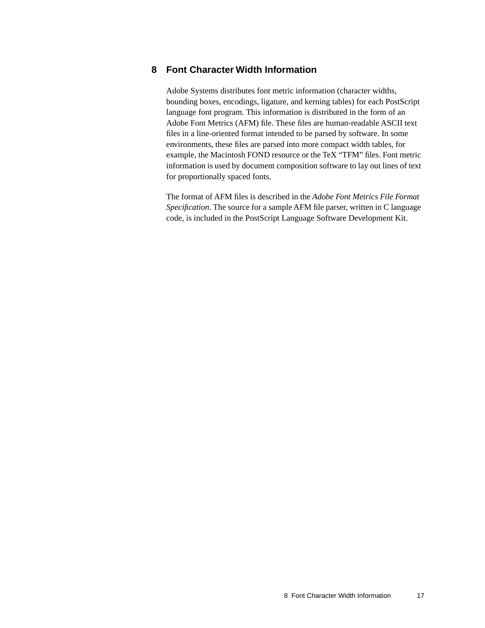## <span id="page-16-0"></span>**8 Font Character Width Information**

Adobe Systems distributes font metric information (character widths, bounding boxes, encodings, ligature, and kerning tables) for each PostScript language font program. This information is distributed in the form of an Adobe Font Metrics (AFM) file. These files are human-readable ASCII text files in a line-oriented format intended to be parsed by software. In some environments, these files are parsed into more compact width tables, for example, the Macintosh FOND resource or the TeX "TFM" files. Font metric information is used by document composition software to lay out lines of text for proportionally spaced fonts.

The format of AFM files is described in the *Adobe Font Metrics File Format Specification*. The source for a sample AFM file parser, written in C language code, is included in the PostScript Language Software Development Kit.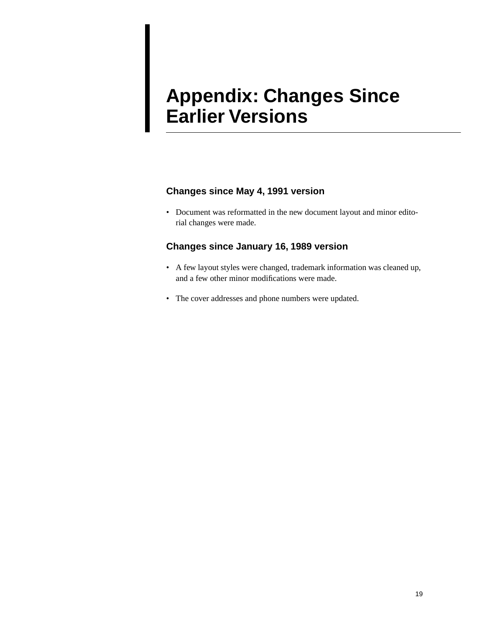# **Appendix: Changes Since Earlier Versions**

# **Changes since May 4, 1991 version**

• Document was reformatted in the new document layout and minor editorial changes were made.

# **Changes since January 16, 1989 version**

- A few layout styles were changed, trademark information was cleaned up, and a few other minor modifications were made.
- The cover addresses and phone numbers were updated.